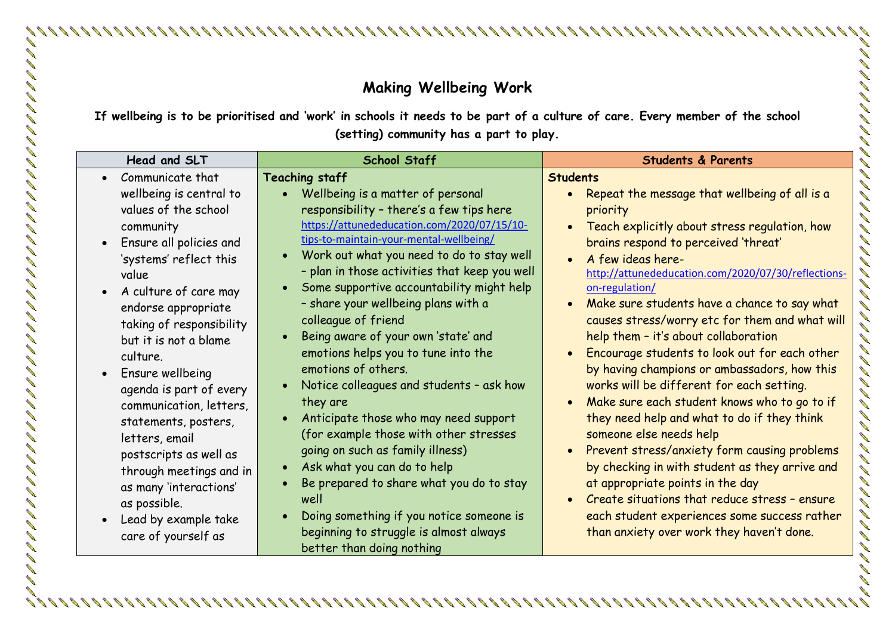## **Making Wellbeing Work**

**CONSTRUCTION** 

**If wellbeing is to be prioritised and 'work' in schools it needs to be part of a culture of care. Every member of the school (setting) community has a part to play.**

| <b>Head and SLT</b>                                                                                                                                                                                                                                                                                                                                                                                                                                                             | <b>School Staff</b>                                                                                                                                                                                                                                                                                                                                                                                                                                                                                                                                                                                                                                                                                                                                                                   | <b>Students &amp; Parents</b>                                                                                                                                                                                                                                                                                                                                                                                                                                                                                                                                                                                                                                                                                                                                                                                                            |
|---------------------------------------------------------------------------------------------------------------------------------------------------------------------------------------------------------------------------------------------------------------------------------------------------------------------------------------------------------------------------------------------------------------------------------------------------------------------------------|---------------------------------------------------------------------------------------------------------------------------------------------------------------------------------------------------------------------------------------------------------------------------------------------------------------------------------------------------------------------------------------------------------------------------------------------------------------------------------------------------------------------------------------------------------------------------------------------------------------------------------------------------------------------------------------------------------------------------------------------------------------------------------------|------------------------------------------------------------------------------------------------------------------------------------------------------------------------------------------------------------------------------------------------------------------------------------------------------------------------------------------------------------------------------------------------------------------------------------------------------------------------------------------------------------------------------------------------------------------------------------------------------------------------------------------------------------------------------------------------------------------------------------------------------------------------------------------------------------------------------------------|
| Communicate that<br>wellbeing is central to<br>values of the school<br>community<br>Ensure all policies and<br>'systems' reflect this<br>value<br>A culture of care may<br>endorse appropriate<br>taking of responsibility<br>but it is not a blame<br>culture.<br>Ensure wellbeing<br>$\bullet$<br>agenda is part of every<br>communication, letters,<br>statements, posters,<br>letters, email<br>postscripts as well as<br>through meetings and in<br>as many 'interactions' | <b>Teaching staff</b><br>Wellbeing is a matter of personal<br>$\bullet$<br>responsibility - there's a few tips here<br>https://attunededucation.com/2020/07/15/10-<br>tips-to-maintain-your-mental-wellbeing/<br>Work out what you need to do to stay well<br>- plan in those activities that keep you well<br>Some supportive accountability might help<br>- share your wellbeing plans with a<br>colleague of friend<br>Being aware of your own 'state' and<br>emotions helps you to tune into the<br>emotions of others.<br>Notice colleagues and students - ask how<br>they are<br>Anticipate those who may need support<br>(for example those with other stresses<br>going on such as family illness)<br>Ask what you can do to help<br>Be prepared to share what you do to stay | <b>Students</b><br>Repeat the message that wellbeing of all is a<br>$\bullet$<br>priority<br>Teach explicitly about stress regulation, how<br>brains respond to perceived 'threat'<br>A few ideas here-<br>http://attunededucation.com/2020/07/30/reflections-<br>on-regulation/<br>Make sure students have a chance to say what<br>causes stress/worry etc for them and what will<br>help them - it's about collaboration<br>Encourage students to look out for each other<br>by having champions or ambassadors, how this<br>works will be different for each setting.<br>Make sure each student knows who to go to if<br>they need help and what to do if they think<br>someone else needs help<br>Prevent stress/anxiety form causing problems<br>by checking in with student as they arrive and<br>at appropriate points in the day |
| as possible.<br>Lead by example take<br>care of yourself as                                                                                                                                                                                                                                                                                                                                                                                                                     | well<br>Doing something if you notice someone is<br>beginning to struggle is almost always<br>better than doing nothing                                                                                                                                                                                                                                                                                                                                                                                                                                                                                                                                                                                                                                                               | Create situations that reduce stress - ensure<br>each student experiences some success rather<br>than anxiety over work they haven't done.                                                                                                                                                                                                                                                                                                                                                                                                                                                                                                                                                                                                                                                                                               |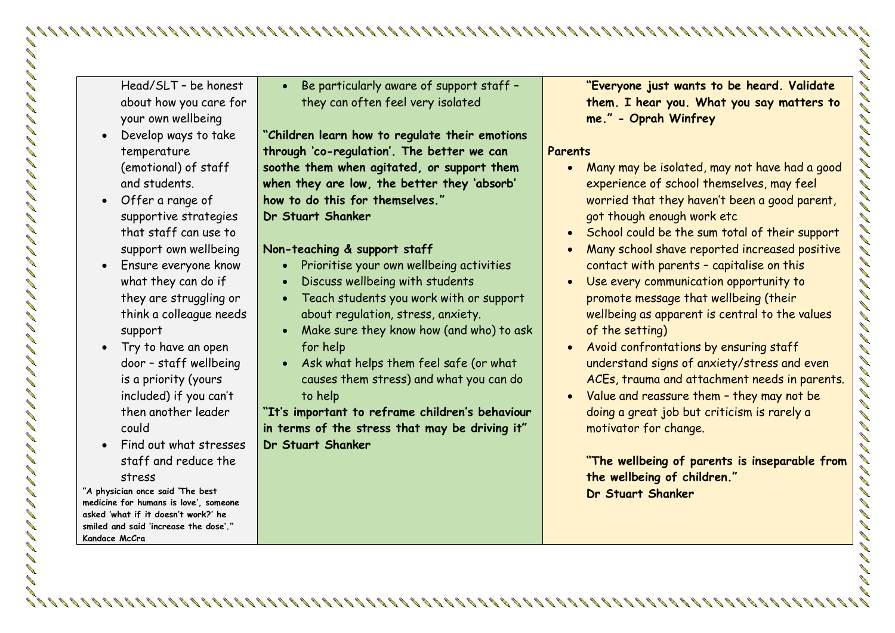Head/SLT – be honest about how you care for your own wellbeing

- Develop ways to take temperature (emotional) of staff and students.
- Offer a range of supportive strategies that staff can use to support own wellbeing
- Ensure everyone know what they can do if they are struggling or think a colleague needs support
- Try to have an open door – staff wellbeing is a priority (yours included) if you can't then another leader could
- Find out what stresses staff and reduce the stress

**"A physician once said 'The best medicine for humans is love', someone asked 'what if it doesn't work?' he smiled and said 'increase the dose'." Kandace McCra**

• Be particularly aware of support staff – they can often feel very isolated

**"Children learn how to regulate their emotions through 'co-regulation'. The better we can soothe them when agitated, or support them when they are low, the better they 'absorb' how to do this for themselves." Dr Stuart Shanker**

## **Non-teaching & support staff**

- Prioritise your own wellbeing activities
- Discuss wellbeing with students
- Teach students you work with or support about regulation, stress, anxiety.
- Make sure they know how (and who) to ask for help
- Ask what helps them feel safe (or what causes them stress) and what you can do to help

**"It's important to reframe children's behaviour in terms of the stress that may be driving it" Dr Stuart Shanker**

**"Everyone just wants to be heard. Validate them. I hear you. What you say matters to me." - Oprah Winfrey**

## **Parents**

- Many may be isolated, may not have had a good experience of school themselves, may feel worried that they haven't been a good parent, got though enough work etc
- School could be the sum total of their support
- Many school shave reported increased positive contact with parents – capitalise on this
- Use every communication opportunity to promote message that wellbeing (their wellbeing as apparent is central to the values of the setting)
- Avoid confrontations by ensuring staff understand signs of anxiety/stress and even ACEs, trauma and attachment needs in parents.
- Value and reassure them they may not be doing a great job but criticism is rarely a motivator for change.

**"The wellbeing of parents is inseparable from the wellbeing of children." Dr Stuart Shanker**